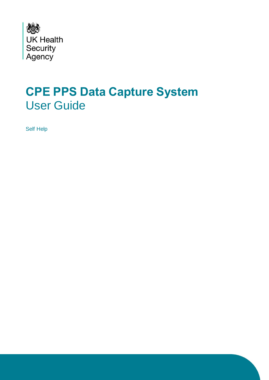

# **CPE PPS Data Capture System**  User Guide

Self Help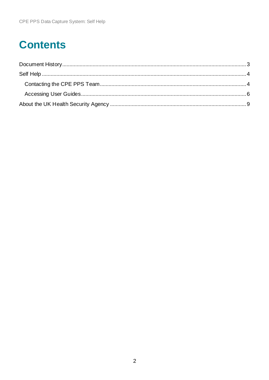## **Contents**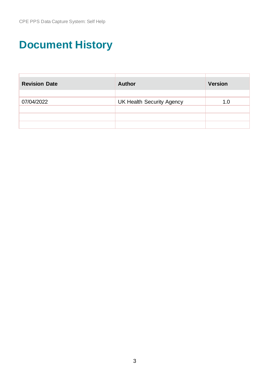# <span id="page-2-0"></span>**Document History**

| <b>Revision Date</b> | <b>Author</b>                    | <b>Version</b> |
|----------------------|----------------------------------|----------------|
|                      |                                  |                |
| 07/04/2022           | <b>UK Health Security Agency</b> | 1.0            |
|                      |                                  |                |
|                      |                                  |                |
|                      |                                  |                |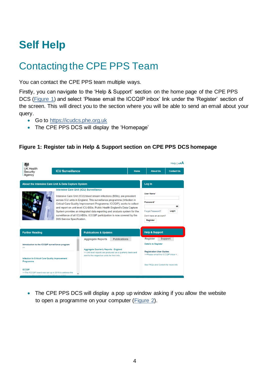# <span id="page-3-0"></span>**Self Help**

## <span id="page-3-1"></span>Contacting the CPE PPS Team

You can contact the CPE PPS team multiple ways.

Firstly, you can navigate to the 'Help & Support' section on the home page of the CPE PPS DCS [\(Figure 1\)](#page-3-2) and select 'Please email the ICCQIP inbox' link under the 'Register' section of the screen. This will direct you to the section where you will be able to send an email about your query.

- Go to [https://icudcs.phe.org.uk](https://icudcs.phe.org.uk/)
- <span id="page-3-2"></span>• The CPE PPS DCS will display the 'Homepage'

#### **Figure 1: Register tab in Help & Support section on CPE PPS DCS homepage**

|                                                                                                                                       |                                                                                                                                                                                                                               |                                                                                                                                                           |                     |                           |                                                                      | Help   AAA        |  |
|---------------------------------------------------------------------------------------------------------------------------------------|-------------------------------------------------------------------------------------------------------------------------------------------------------------------------------------------------------------------------------|-----------------------------------------------------------------------------------------------------------------------------------------------------------|---------------------|---------------------------|----------------------------------------------------------------------|-------------------|--|
| <b>UK Health</b><br>Security<br>Agency                                                                                                | <b>ICU Surveillance</b>                                                                                                                                                                                                       |                                                                                                                                                           |                     | Home                      | <b>About Us</b>                                                      | <b>Contact Us</b> |  |
| About the Intensive Care Unit & Data Capture System                                                                                   |                                                                                                                                                                                                                               |                                                                                                                                                           |                     |                           | Log in                                                               |                   |  |
|                                                                                                                                       | <b>Intensive Care Unit (ICU) Surveillance</b>                                                                                                                                                                                 |                                                                                                                                                           |                     |                           | User Name*                                                           |                   |  |
|                                                                                                                                       |                                                                                                                                                                                                                               | Intensive Care Unit (ICU) blood stream infections (BSIs), are prevalent<br>across ICU units in England. This surveillance programme (Infection in         |                     |                           |                                                                      |                   |  |
|                                                                                                                                       | Critical Care Quality Improvement Programme; ICCQIP), works to collect<br>and report on unit level ICU-BSIs. Public Health England's Data Capture<br>System provides an integrated data reporting and analysis system for the |                                                                                                                                                           |                     |                           | Password*<br>Forgot Password?<br>Login                               |                   |  |
|                                                                                                                                       |                                                                                                                                                                                                                               |                                                                                                                                                           |                     |                           |                                                                      |                   |  |
|                                                                                                                                       | D05 Service Specification.                                                                                                                                                                                                    | surveillance of all ICU-BSIs. ICCQIP participation is now covered by the                                                                                  |                     |                           | Don't have an account?<br>Register                                   |                   |  |
|                                                                                                                                       |                                                                                                                                                                                                                               |                                                                                                                                                           |                     |                           |                                                                      |                   |  |
| <b>Further Reading</b>                                                                                                                |                                                                                                                                                                                                                               | <b>Publications &amp; Updates</b>                                                                                                                         |                     | <b>Help &amp; Support</b> |                                                                      |                   |  |
|                                                                                                                                       |                                                                                                                                                                                                                               | <b>Aggregate Reports</b>                                                                                                                                  | <b>Publications</b> |                           | <b>Register</b>                                                      | <b>Support</b>    |  |
| Introduction to the ICCQIP surveillance program<br>$\gg$                                                                              |                                                                                                                                                                                                                               |                                                                                                                                                           |                     |                           | <b>Details to Register</b>                                           |                   |  |
|                                                                                                                                       |                                                                                                                                                                                                                               | <b>Aggregate Quarterly Reports - England</b><br>>>Unit level reports are produced on a quarterly basis and<br>sent to the respective units for their info |                     |                           | <b>Registration User Guides</b><br>>>Please email the ICCOIP inbox < |                   |  |
| <b>Infection In Critical Care Quality Improvement</b><br>Programme                                                                    |                                                                                                                                                                                                                               |                                                                                                                                                           |                     |                           |                                                                      |                   |  |
|                                                                                                                                       |                                                                                                                                                                                                                               |                                                                                                                                                           |                     |                           | See FAQs and Content for more info.                                  |                   |  |
| <b>ICCOIP</b><br>>>The ICCQIP board was set up in 2016 to address the<br>ad to a stational composition of the final station of the th |                                                                                                                                                                                                                               |                                                                                                                                                           |                     |                           |                                                                      |                   |  |
|                                                                                                                                       |                                                                                                                                                                                                                               |                                                                                                                                                           |                     |                           |                                                                      |                   |  |

<span id="page-3-3"></span>• The CPE PPS DCS will display a pop up window asking if you allow the website to open a programme on your computer [\(Figure 2\)](#page-3-3).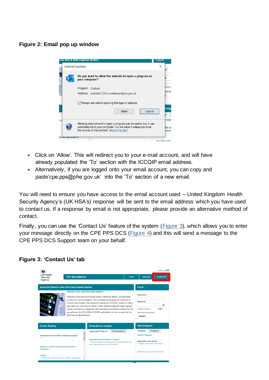#### **Figure 2: Email pop up window**



- Click on 'Allow'. This will redirect you to your e-mail account, and will have already populated the 'To' section with the ICCQIP email address.
- Alternatively, if you are logged onto your email account, you can copy and paste'cpe.pps@phe.gov.uk' into the 'To' section of a new email.

You will need to ensure you have access to the email account used – United Kingdom Health Security Agency's (UK HSA's) response will be sent to the email address which you have used to contact us. If a response by email is not appropriate, please provide an alternative method of contact.

Finally, you can use the 'Contact Us' feature of the system [\(Figure 3\)](#page-4-0), which allows you to enter your message directly on the CPE PPS DCS [\(Figure 4\)](#page-5-1) and this will send a message to the CPE PPS DCS Support team on your behalf.

#### <span id="page-4-0"></span>**Figure 3: 'Contact Us' tab**

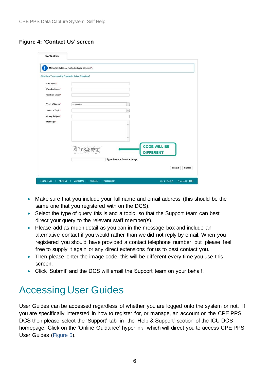#### <span id="page-5-1"></span>**Figure 4: 'Contact Us' screen**

|                       | Mandatory fields are marked with red asterisk (*)    |                     |
|-----------------------|------------------------------------------------------|---------------------|
|                       | Click Here To Access the Frequently Asked Questions? |                     |
| <b>Full Name*</b>     |                                                      |                     |
| Email Address*        |                                                      |                     |
| <b>Confirm Email*</b> |                                                      |                     |
|                       |                                                      |                     |
| Type of Query*        | $-$ Select $-$                                       | $\check{}$          |
| Select a Topic*       |                                                      | $\check{}$          |
| Query Subject*        |                                                      |                     |
| Message*              |                                                      | ۸                   |
|                       |                                                      |                     |
|                       |                                                      | u                   |
|                       |                                                      |                     |
|                       |                                                      | <b>CODE WILL BE</b> |
|                       |                                                      | <b>DIFFERENT</b>    |
|                       | Type the code from the image                         |                     |
|                       |                                                      | Cancel<br>Submit    |

- Make sure that you include your full name and email address (this should be the same one that you registered with on the DCS).
- Select the type of query this is and a topic, so that the Support team can best direct your query to the relevant staff member(s).
- Please add as much detail as you can in the message box and include an alternative contact if you would rather than we did not reply by email. When you registered you should have provided a contact telephone number, but please feel free to supply it again or any direct extensions for us to best contact you.
- Then please enter the image code, this will be different every time you use this screen.
- Click 'Submit' and the DCS will email the Support team on your behalf.

## <span id="page-5-0"></span>Accessing User Guides

<span id="page-5-2"></span>User Guides can be accessed regardless of whether you are logged onto the system or not. If you are specifically interested in how to register for, or manage, an account on the CPE PPS DCS then please select the 'Support' tab in the 'Help & Support' section of the ICU DCS homepage. Click on the 'Online Guidance' hyperlink, which will direct you to access CPE PPS User Guides [\(Figure 5\)](#page-5-2).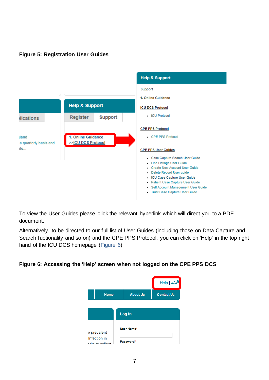#### **Figure 5: Registration User Guides**



To view the User Guides please click the relevant hyperlink which will direct you to a PDF document.

Alternatively, to be directed to our full list of User Guides (including those on Data Capture and Search fuctionality and so on) and the CPE PPS Protocol, you can click on 'Help' in the top right hand of the ICU DCS homepage [\(Figure 6\)](#page-6-0)

#### <span id="page-6-0"></span>**Figure 6: Accessing the 'Help' screen when not logged on the CPE PPS DCS**

|                                               |                         | $\text{Help}   \text{AA}$ |
|-----------------------------------------------|-------------------------|---------------------------|
| <b>Home</b>                                   | <b>About Us</b>         | <b>Contact Us</b>         |
|                                               | Log in                  |                           |
| e prevalent<br>Infection in<br>فممالمم وداءوه | User Name*<br>Password* |                           |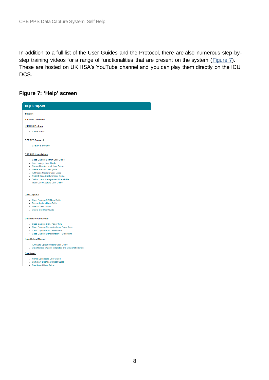In addition to a full list of the User Guides and the Protocol, there are also numerous step-by-step training videos for a range of functionalities that are present on the system [\(Figure 7\)](#page-7-0). These are hosted on UK HSA's YouTube channel and you can play them directly on the ICU DCS.

#### <span id="page-7-0"></span>**Figure 7: 'Help' screen**

| <b>Help &amp; Support</b>                                                                                                                                                                                                                                                      |
|--------------------------------------------------------------------------------------------------------------------------------------------------------------------------------------------------------------------------------------------------------------------------------|
| <b>Support</b>                                                                                                                                                                                                                                                                 |
| 1. Online Guidance                                                                                                                                                                                                                                                             |
| <b>ICU DCS Protocol</b>                                                                                                                                                                                                                                                        |
| - ICU Protocol                                                                                                                                                                                                                                                                 |
| <b>CPE PPS Protocol</b>                                                                                                                                                                                                                                                        |
| CPE PPS Protocol                                                                                                                                                                                                                                                               |
| <b>CPE PPS User Guides</b>                                                                                                                                                                                                                                                     |
| - Case Capture Search User Guide<br>• Line Listings User Guide<br>Create New Account User Guide<br>- Delete Record User quide<br>- ICU Case Capture User Guide<br>- Patient Case Capture User Guide<br>• Self Account Management User Guide<br>- Trust Case Capture User Guide |
| <b>Case Capture</b>                                                                                                                                                                                                                                                            |
| - Case Capture BSI User Guide<br>• Denominators User Guide                                                                                                                                                                                                                     |
| Search User Guide<br>Delete BSI User Guide                                                                                                                                                                                                                                     |
| <b>Data Entry Forms/Aids</b>                                                                                                                                                                                                                                                   |
| - Case Capture BSI - Paper form<br>- Case Capture Denominators - Paper form<br>- Case Capture BSI - Excel form<br>- Case Capture Denominators - Excel form                                                                                                                     |
| <b>Data Upload Wizard</b>                                                                                                                                                                                                                                                      |
| . ICU Data Upload Wizard User Guide<br>- Data Upload Wizard Templates and Data Dictionaries                                                                                                                                                                                    |
| Dashboard                                                                                                                                                                                                                                                                      |
| Home Dashboard User Guide<br>· Summary Dashboard User Guide<br>- Dashboard User Guide                                                                                                                                                                                          |
|                                                                                                                                                                                                                                                                                |